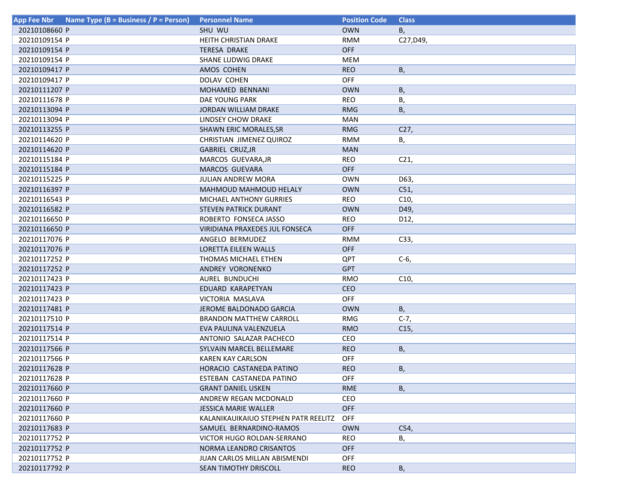| <b>App Fee Nbr</b> | Name Type (B = Business / P = Person) | <b>Personnel Name</b>                 | <b>Position Code</b> | <b>Class</b>    |
|--------------------|---------------------------------------|---------------------------------------|----------------------|-----------------|
| 20210108660 P      |                                       | SHU WU                                | <b>OWN</b>           | В,              |
| 20210109154 P      |                                       | HEITH CHRISTIAN DRAKE                 | <b>RMM</b>           | C27, D49,       |
| 20210109154 P      |                                       | <b>TERESA DRAKE</b>                   | <b>OFF</b>           |                 |
| 20210109154 P      |                                       | SHANE LUDWIG DRAKE                    | MEM                  |                 |
| 20210109417 P      |                                       | AMOS COHEN                            | <b>REO</b>           | Β,              |
| 20210109417 P      |                                       | DOLAV COHEN                           | <b>OFF</b>           |                 |
| 20210111207 P      |                                       | MOHAMED BENNANI                       | <b>OWN</b>           | В,              |
| 20210111678 P      |                                       | DAE YOUNG PARK                        | <b>REO</b>           | В,              |
| 20210113094 P      |                                       | JORDAN WILLIAM DRAKE                  | <b>RMG</b>           | В,              |
| 20210113094 P      |                                       | LINDSEY CHOW DRAKE                    | <b>MAN</b>           |                 |
| 20210113255 P      |                                       | <b>SHAWN ERIC MORALES, SR</b>         | <b>RMG</b>           | C27,            |
| 20210114620 P      |                                       | CHRISTIAN JIMENEZ QUIROZ              | <b>RMM</b>           | В,              |
| 20210114620 P      |                                       | GABRIEL CRUZ, JR                      | <b>MAN</b>           |                 |
| 20210115184 P      |                                       | MARCOS GUEVARA, JR                    | REO                  | C <sub>21</sub> |
| 20210115184 P      |                                       | <b>MARCOS GUEVARA</b>                 | <b>OFF</b>           |                 |
| 20210115225 P      |                                       | JULIAN ANDREW MORA                    | <b>OWN</b>           | D63,            |
| 20210116397 P      |                                       | <b>MAHMOUD MAHMOUD HELALY</b>         | <b>OWN</b>           | C51,            |
| 20210116543 P      |                                       | MICHAEL ANTHONY GURRIES               | <b>REO</b>           | C10,            |
| 20210116582 P      |                                       | STEVEN PATRICK DURANT                 | <b>OWN</b>           | D49,            |
| 20210116650 P      |                                       | ROBERTO FONSECA JASSO                 | <b>REO</b>           | D12,            |
| 20210116650 P      |                                       | <b>VIRIDIANA PRAXEDES JUL FONSECA</b> | <b>OFF</b>           |                 |
| 20210117076 P      |                                       | ANGELO BERMUDEZ                       | <b>RMM</b>           | C33,            |
| 20210117076 P      |                                       | LORETTA EILEEN WALLS                  | <b>OFF</b>           |                 |
| 20210117252 P      |                                       | THOMAS MICHAEL ETHEN                  | QPT                  | C-6,            |
| 20210117252 P      |                                       | ANDREY VORONENKO                      | <b>GPT</b>           |                 |
| 20210117423 P      |                                       | AUREL BUNDUCHI                        | <b>RMO</b>           | C <sub>10</sub> |
| 20210117423 P      |                                       | EDUARD KARAPETYAN                     | <b>CEO</b>           |                 |
| 20210117423 P      |                                       | VICTORIA MASLAVA                      | <b>OFF</b>           |                 |
| 20210117481 P      |                                       | JEROME BALDONADO GARCIA               | <b>OWN</b>           | B,              |
| 20210117510 P      |                                       | <b>BRANDON MATTHEW CARROLL</b>        | <b>RMG</b>           | $C-7,$          |
| 20210117514 P      |                                       | EVA PAULINA VALENZUELA                | <b>RMO</b>           | C <sub>15</sub> |
| 20210117514 P      |                                       | ANTONIO SALAZAR PACHECO               | CEO                  |                 |
| 20210117566 P      |                                       | SYLVAIN MARCEL BELLEMARE              | <b>REO</b>           | В,              |
| 20210117566 P      |                                       | <b>KAREN KAY CARLSON</b>              | <b>OFF</b>           |                 |
| 20210117628 P      |                                       | HORACIO CASTANEDA PATINO              | <b>REO</b>           | Β,              |
| 20210117628 P      |                                       | ESTEBAN CASTANEDA PATINO              | OFF                  |                 |
| 20210117660 P      |                                       | <b>GRANT DANIEL USKEN</b>             | <b>RME</b>           | <b>B</b> ,      |
| 20210117660 P      |                                       | ANDREW REGAN MCDONALD                 | <b>CEO</b>           |                 |
| 20210117660 P      |                                       | <b>JESSICA MARIE WALLER</b>           | <b>OFF</b>           |                 |
| 20210117660 P      |                                       | KALANIKAUIKAIUO STEPHEN PATR REELITZ  | <b>OFF</b>           |                 |
| 20210117683 P      |                                       | SAMUEL BERNARDINO-RAMOS               | <b>OWN</b>           | C54,            |
| 20210117752 P      |                                       | VICTOR HUGO ROLDAN-SERRANO            | REO                  | В,              |
| 20210117752 P      |                                       | NORMA LEANDRO CRISANTOS               | <b>OFF</b>           |                 |
| 20210117752 P      |                                       | JUAN CARLOS MILLAN ABISMENDI          | <b>OFF</b>           |                 |
| 20210117792 P      |                                       | SEAN TIMOTHY DRISCOLL                 | <b>REO</b>           | В,              |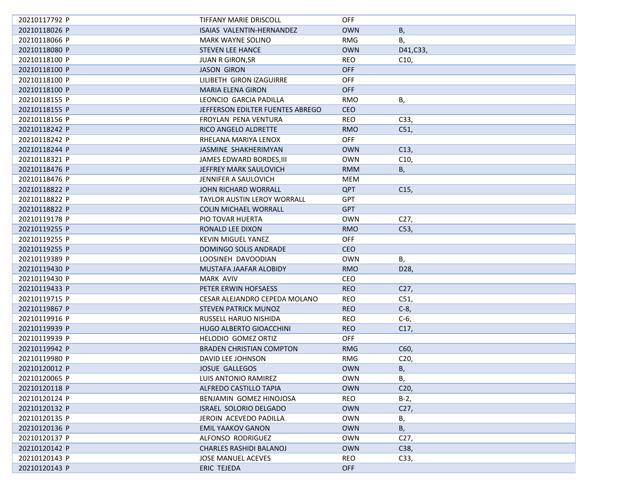| 20210117792 P | TIFFANY MARIE DRISCOLL             | <b>OFF</b> |                 |
|---------------|------------------------------------|------------|-----------------|
| 20210118026 P | ISAIAS VALENTIN-HERNANDEZ          | <b>OWN</b> | В,              |
| 20210118066 P | <b>MARK WAYNE SOLINO</b>           | <b>RMG</b> | В,              |
| 20210118080 P | <b>STEVEN LEE HANCE</b>            | <b>OWN</b> | D41, C33,       |
| 20210118100 P | <b>JUAN R GIRON, SR</b>            | <b>REO</b> | C10,            |
| 20210118100 P | <b>JASON GIRON</b>                 | <b>OFF</b> |                 |
| 20210118100 P | LILIBETH GIRON IZAGUIRRE           | <b>OFF</b> |                 |
| 20210118100 P | <b>MARIA ELENA GIRON</b>           | <b>OFF</b> |                 |
| 20210118155 P | LEONCIO GARCIA PADILLA             | <b>RMO</b> | В,              |
| 20210118155 P | JEFFERSON EDILTER FUENTES ABREGO   | <b>CEO</b> |                 |
| 20210118156 P | FROYLAN PENA VENTURA               | <b>REO</b> | C33,            |
| 20210118242 P | RICO ANGELO ALDRETTE               | <b>RMO</b> | C51,            |
| 20210118242 P | RHELANA MARIYA LENOX               | <b>OFF</b> |                 |
| 20210118244 P | JASMINE SHAKHERIMYAN               | <b>OWN</b> | C13,            |
| 20210118321 P | JAMES EDWARD BORDES, III           | <b>OWN</b> | C10,            |
| 20210118476 P | JEFFREY MARK SAULOVICH             | <b>RMM</b> | В,              |
| 20210118476 P | JENNIFER A SAULOVICH               | MEM        |                 |
| 20210118822 P | <b>JOHN RICHARD WORRALL</b>        | <b>QPT</b> | C15,            |
| 20210118822 P | <b>TAYLOR AUSTIN LEROY WORRALL</b> | <b>GPT</b> |                 |
| 20210118822 P | <b>COLIN MICHAEL WORRALL</b>       | <b>GPT</b> |                 |
| 20210119178 P | PIO TOVAR HUERTA                   | <b>OWN</b> | C <sub>27</sub> |
| 20210119255 P | RONALD LEE DIXON                   | <b>RMO</b> | C53,            |
| 20210119255 P | <b>KEVIN MIGUEL YANEZ</b>          | <b>OFF</b> |                 |
| 20210119255 P | DOMINGO SOLIS ANDRADE              | <b>CEO</b> |                 |
| 20210119389 P | LOOSINEH DAVOODIAN                 | <b>OWN</b> | В,              |
| 20210119430 P | MUSTAFA JAAFAR ALOBIDY             | <b>RMO</b> | D28,            |
| 20210119430 P | <b>MARK AVIV</b>                   | CEO        |                 |
| 20210119433 P | PETER ERWIN HOFSAESS               | <b>REO</b> | C <sub>27</sub> |
| 20210119715 P | CESAR ALEJANDRO CEPEDA MOLANO      | <b>REO</b> | C51,            |
| 20210119867 P | STEVEN PATRICK MUNOZ               | <b>REO</b> | $C-8$ ,         |
| 20210119916 P | RUSSELL HARUO NISHIDA              | REO        | $C-6$           |
| 20210119939 P | HUGO ALBERTO GIOACCHINI            | <b>REO</b> | C17,            |
| 20210119939 P | HELODIO GOMEZ ORTIZ                | <b>OFF</b> |                 |
| 20210119942 P | <b>BRADEN CHRISTIAN COMPTON</b>    | <b>RMG</b> | C60,            |
| 20210119980 P | DAVID LEE JOHNSON                  | RMG        | C20,            |
| 20210120012 P | <b>JOSUE GALLEGOS</b>              | <b>OWN</b> | В,              |
| 20210120065 P | LUIS ANTONIO RAMIREZ               | <b>OWN</b> | В,              |
| 20210120118 P | ALFREDO CASTILLO TAPIA             | <b>OWN</b> | C <sub>20</sub> |
| 20210120124 P | BENJAMIN GOMEZ HINOJOSA            | REO        | $B-2,$          |
| 20210120132 P | ISRAEL SOLORIO DELGADO             | <b>OWN</b> | C27,            |
| 20210120135 P | JEROIN ACEVEDO PADILLA             | <b>OWN</b> | В,              |
| 20210120136 P | <b>EMIL YAAKOV GANON</b>           | <b>OWN</b> | В,              |
| 20210120137 P | ALFONSO RODRIGUEZ                  | <b>OWN</b> | C27,            |
| 20210120142 P | <b>CHARLES RASHIDI BALANOJ</b>     | <b>OWN</b> | C38,            |
| 20210120143 P | <b>JOSE MANUEL ACEVES</b>          | REO        | C33,            |
| 20210120143 P | ERIC TEJEDA                        | <b>OFF</b> |                 |
|               |                                    |            |                 |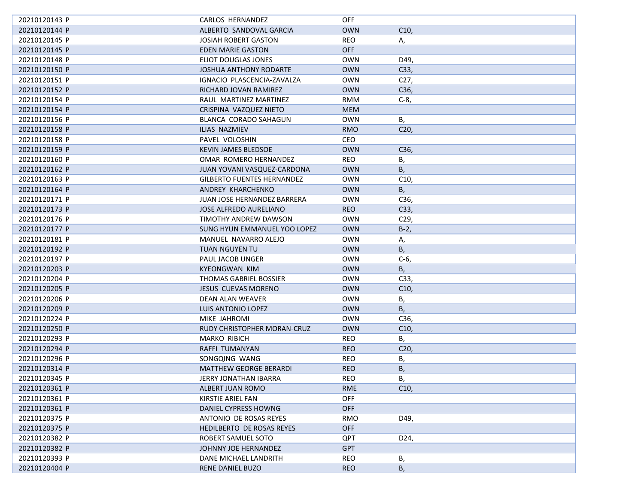| 20210120143 P | CARLOS HERNANDEZ                   | <b>OFF</b> |                 |
|---------------|------------------------------------|------------|-----------------|
| 20210120144 P | ALBERTO SANDOVAL GARCIA            | <b>OWN</b> | C10,            |
| 20210120145 P | <b>JOSIAH ROBERT GASTON</b>        | <b>REO</b> | А,              |
| 20210120145 P | EDEN MARIE GASTON                  | <b>OFF</b> |                 |
| 20210120148 P | <b>ELIOT DOUGLAS JONES</b>         | <b>OWN</b> | D49,            |
| 20210120150 P | <b>JOSHUA ANTHONY RODARTE</b>      | <b>OWN</b> | C33,            |
| 20210120151 P | IGNACIO PLASCENCIA-ZAVALZA         | <b>OWN</b> | C <sub>27</sub> |
| 20210120152 P | RICHARD JOVAN RAMIREZ              | <b>OWN</b> | C36,            |
| 20210120154 P | RAUL MARTINEZ MARTINEZ             | <b>RMM</b> | $C-8$           |
| 20210120154 P | CRISPINA VAZQUEZ NIETO             | <b>MEM</b> |                 |
| 20210120156 P | BLANCA CORADO SAHAGUN              | <b>OWN</b> | В,              |
| 20210120158 P | ILIAS NAZMIEV                      | <b>RMO</b> | C <sub>20</sub> |
| 20210120158 P | PAVEL VOLOSHIN                     | CEO        |                 |
| 20210120159 P | KEVIN JAMES BLEDSOE                | <b>OWN</b> | C36,            |
| 20210120160 P | OMAR ROMERO HERNANDEZ              | REO        | В,              |
| 20210120162 P | JUAN YOVANI VASQUEZ-CARDONA        | <b>OWN</b> | В,              |
| 20210120163 P | <b>GILBERTO FUENTES HERNANDEZ</b>  | <b>OWN</b> | C10,            |
| 20210120164 P | ANDREY KHARCHENKO                  | <b>OWN</b> | В,              |
| 20210120171 P | <b>JUAN JOSE HERNANDEZ BARRERA</b> | <b>OWN</b> | C36,            |
| 20210120173 P | JOSE ALFREDO AURELIANO             | <b>REO</b> | C33,            |
| 20210120176 P | TIMOTHY ANDREW DAWSON              | <b>OWN</b> | C <sub>29</sub> |
| 20210120177 P | SUNG HYUN EMMANUEL YOO LOPEZ       | <b>OWN</b> | $B-2$           |
| 20210120181 P | MANUEL NAVARRO ALEJO               | <b>OWN</b> | Α,              |
| 20210120192 P | TUAN NGUYEN TU                     | <b>OWN</b> | В,              |
| 20210120197 P | PAUL JACOB UNGER                   | <b>OWN</b> | $C-6$           |
| 20210120203 P | KYEONGWAN KIM                      | <b>OWN</b> | В,              |
| 20210120204 P | THOMAS GABRIEL BOSSIER             | <b>OWN</b> | C33,            |
| 20210120205 P | <b>JESUS CUEVAS MORENO</b>         | <b>OWN</b> | C10,            |
| 20210120206 P | DEAN ALAN WEAVER                   | <b>OWN</b> |                 |
| 20210120209 P | LUIS ANTONIO LOPEZ                 | <b>OWN</b> | В,<br>В,        |
| 20210120224 P | MIKE JAHROMI                       | <b>OWN</b> | C36,            |
|               |                                    |            |                 |
| 20210120250 P | RUDY CHRISTOPHER MORAN-CRUZ        | <b>OWN</b> | C10,            |
| 20210120293 P | <b>MARKO RIBICH</b>                | REO        | В,              |
| 20210120294 P | RAFFI TUMANYAN                     | <b>REO</b> | C <sub>20</sub> |
| 20210120296 P | SONGQING WANG                      | <b>REO</b> | В,              |
| 20210120314 P | <b>MATTHEW GEORGE BERARDI</b>      | <b>REO</b> | Β,              |
| 20210120345 P | JERRY JONATHAN IBARRA              | <b>REO</b> | В,              |
| 20210120361 P | ALBERT JUAN ROMO                   | <b>RME</b> | C10,            |
| 20210120361 P | KIRSTIE ARIEL FAN                  | <b>OFF</b> |                 |
| 20210120361 P | DANIEL CYPRESS HOWNG               | <b>OFF</b> |                 |
| 20210120375 P | ANTONIO DE ROSAS REYES             | <b>RMO</b> | D49,            |
| 20210120375 P | HEDILBERTO DE ROSAS REYES          | <b>OFF</b> |                 |
| 20210120382 P | ROBERT SAMUEL SOTO                 | QPT        | D24,            |
| 20210120382 P | JOHNNY JOE HERNANDEZ               | <b>GPT</b> |                 |
| 20210120393 P | DANE MICHAEL LANDRITH              | REO        | В,              |
| 20210120404 P | <b>RENE DANIEL BUZO</b>            | <b>REO</b> | В,              |